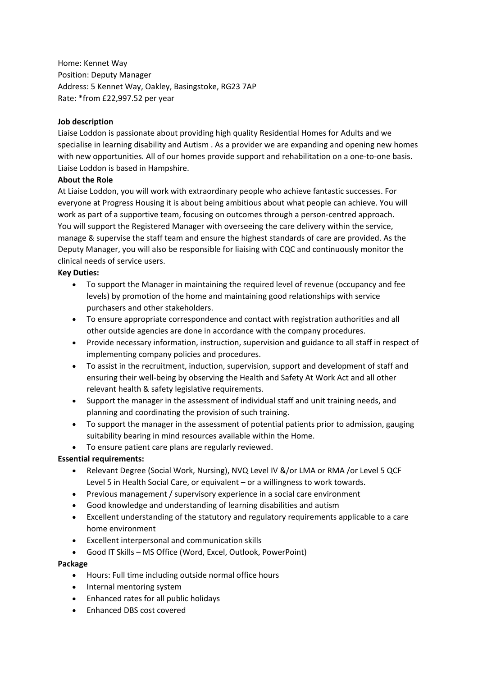Home: Kennet Way Position: Deputy Manager Address: 5 Kennet Way, Oakley, Basingstoke, RG23 7AP Rate: \*from £22,997.52 per year

# **Job description**

Liaise Loddon is passionate about providing high quality Residential Homes for Adults and we specialise in learning disability and Autism . As a provider we are expanding and opening new homes with new opportunities. All of our homes provide support and rehabilitation on a one-to-one basis. Liaise Loddon is based in Hampshire.

# **About the Role**

At Liaise Loddon, you will work with extraordinary people who achieve fantastic successes. For everyone at Progress Housing it is about being ambitious about what people can achieve. You will work as part of a supportive team, focusing on outcomes through a person-centred approach. You will support the Registered Manager with overseeing the care delivery within the service, manage & supervise the staff team and ensure the highest standards of care are provided. As the Deputy Manager, you will also be responsible for liaising with CQC and continuously monitor the clinical needs of service users.

# **Key Duties:**

- To support the Manager in maintaining the required level of revenue (occupancy and fee levels) by promotion of the home and maintaining good relationships with service purchasers and other stakeholders.
- To ensure appropriate correspondence and contact with registration authorities and all other outside agencies are done in accordance with the company procedures.
- Provide necessary information, instruction, supervision and guidance to all staff in respect of implementing company policies and procedures.
- To assist in the recruitment, induction, supervision, support and development of staff and ensuring their well-being by observing the Health and Safety At Work Act and all other relevant health & safety legislative requirements.
- Support the manager in the assessment of individual staff and unit training needs, and planning and coordinating the provision of such training.
- To support the manager in the assessment of potential patients prior to admission, gauging suitability bearing in mind resources available within the Home.
- To ensure patient care plans are regularly reviewed.

# **Essential requirements:**

- Relevant Degree (Social Work, Nursing), NVQ Level IV &/or LMA or RMA /or Level 5 QCF Level 5 in Health Social Care, or equivalent – or a willingness to work towards.
- Previous management / supervisory experience in a social care environment
- Good knowledge and understanding of learning disabilities and autism
- Excellent understanding of the statutory and regulatory requirements applicable to a care home environment
- Excellent interpersonal and communication skills
- Good IT Skills MS Office (Word, Excel, Outlook, PowerPoint)

### **Package**

- Hours: Full time including outside normal office hours
- Internal mentoring system
- Enhanced rates for all public holidays
- Enhanced DBS cost covered